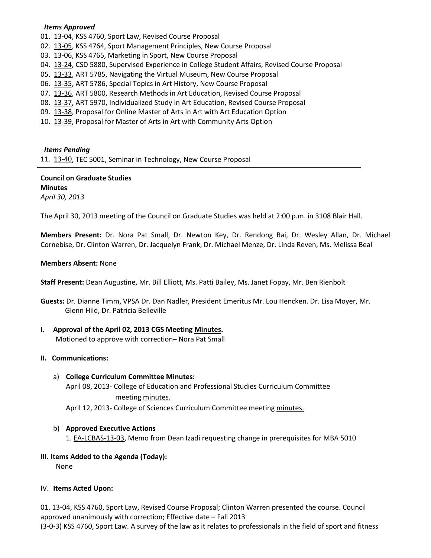#### *Items Approved*

01. [13-04,](http://castle.eiu.edu/~eiucgs/currentagendaitems/agenda13-04.pdf) KSS 4760, Sport Law, Revised Course Proposal

- 02. [13-05,](http://castle.eiu.edu/~eiucgs/currentagendaitems/agenda13-05.pdf) KSS 4764, Sport Management Principles, New Course Proposal
- 03. [13-06,](http://castle.eiu.edu/~eiucgs/currentagendaitems/agenda13-06.pdf) KSS 4765, Marketing in Sport, New Course Proposal
- 04. [13-24,](http://castle.eiu.edu/~eiucgs/currentagendaitems/agenda13-24.pdf) CSD 5880, Supervised Experience in College Student Affairs, Revised Course Proposal
- 05. [13-33,](http://castle.eiu.edu/~eiucgs/currentagendaitems/agenda13-33.pdf) ART 5785, Navigating the Virtual Museum, New Course Proposal
- 06. [13-35,](http://castle.eiu.edu/~eiucgs/currentagendaitems/agenda13-35.pdf) ART 5786, Special Topics in Art History, New Course Proposal
- 07. [13-36,](http://castle.eiu.edu/~eiucgs/currentagendaitems/agenda13-36.pdf) ART 5800, Research Methods in Art Education, Revised Course Proposal
- 08. [13-37,](http://castle.eiu.edu/~eiucgs/currentagendaitems/agenda13-37.pdf) ART 5970, Individualized Study in Art Education, Revised Course Proposal
- 09. [13-38,](http://castle.eiu.edu/~eiucgs/currentagendaitems/agenda13-38.pdf) Proposal for Online Master of Arts in Art with Art Education Option
- 10. [13-39,](http://castle.eiu.edu/~eiucgs/currentagendaitems/agenda13-39.pdf) Proposal for Master of Arts in Art with Community Arts Option

#### *Items Pending*

11. [13-40,](http://castle.eiu.edu/~eiucgs/currentagendaitems/agenda13-40.pdf) TEC 5001, Seminar in Technology, New Course Proposal

**Council on Graduate Studies Minutes** *April 30, 2013*

The April 30, 2013 meeting of the Council on Graduate Studies was held at 2:00 p.m. in 3108 Blair Hall.

**Members Present:** Dr. Nora Pat Small, Dr. Newton Key, Dr. Rendong Bai, Dr. Wesley Allan, Dr. Michael Cornebise, Dr. Clinton Warren, Dr. Jacquelyn Frank, Dr. Michael Menze, Dr. Linda Reven, Ms. Melissa Beal

#### **Members Absent:** None

**Staff Present:** Dean Augustine, Mr. Bill Elliott, Ms. Patti Bailey, Ms. Janet Fopay, Mr. Ben Rienbolt

- **Guests:** Dr. Dianne Timm, VPSA Dr. Dan Nadler, President Emeritus Mr. Lou Hencken. Dr. Lisa Moyer, Mr. Glenn Hild, Dr. Patricia Belleville
- **I. Approval of the April 02, 2013 CGS Meeting [Minutes.](http://castle.eiu.edu/eiucgs/currentminutes/Minutes04-02-13.pdf)**

Motioned to approve with correction– Nora Pat Small

#### **II. Communications:**

a) **College Curriculum Committee Minutes:**

April 08, 2013- College of Education and Professional Studies Curriculum Committee meeting [minutes.](http://castle.eiu.edu/~eiucgs/currentagendaitems/CEPSMin04-08-13.pdf)

April 12, 2013- College of Sciences Curriculum Committee meeting [minutes.](http://castle.eiu.edu/~eiucgs/currentagendaitems/COSMin04-12-13.pdf)

b) **Approved Executive Actions** 1[. EA-LCBAS-13-03,](http://castle.eiu.edu/~eiucgs/exec-actions/EA-LCBAS-13-03.pdf) Memo from Dean Izadi requesting change in prerequisites for MBA 5010

## **III. Items Added to the Agenda (Today):**

None

#### IV. **Items Acted Upon:**

01. [13-04,](http://castle.eiu.edu/~eiucgs/currentagendaitems/agenda13-04.pdf) KSS 4760, Sport Law, Revised Course Proposal; Clinton Warren presented the course. Council approved unanimously with correction; Effective date – Fall 2013

(3-0-3) KSS 4760, Sport Law. A survey of the law as it relates to professionals in the field of sport and fitness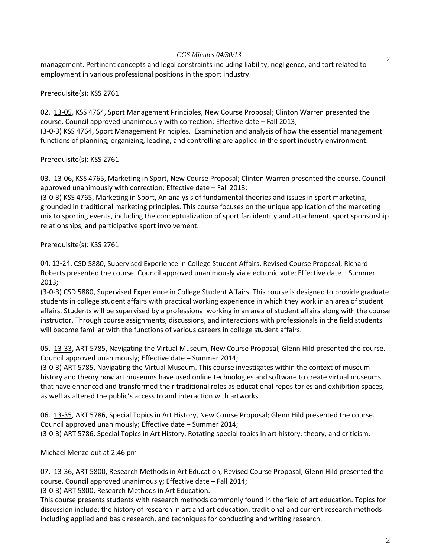management. Pertinent concepts and legal constraints including liability, negligence, and tort related to employment in various professional positions in the sport industry.

## Prerequisite(s): KSS 2761

02. [13-05,](http://castle.eiu.edu/~eiucgs/currentagendaitems/agenda13-05.pdf) KSS 4764, Sport Management Principles, New Course Proposal; Clinton Warren presented the course. Council approved unanimously with correction; Effective date – Fall 2013; (3-0-3) KSS 4764, Sport Management Principles. Examination and analysis of how the essential management functions of planning, organizing, leading, and controlling are applied in the sport industry environment.

Prerequisite(s): KSS 2761

03. [13-06,](http://castle.eiu.edu/~eiucgs/currentagendaitems/agenda13-06.pdf) KSS 4765, Marketing in Sport, New Course Proposal; Clinton Warren presented the course. Council approved unanimously with correction; Effective date – Fall 2013;

(3-0-3) KSS 4765, Marketing in Sport, An analysis of fundamental theories and issues in sport marketing, grounded in traditional marketing principles. This course focuses on the unique application of the marketing mix to sporting events, including the conceptualization of sport fan identity and attachment, sport sponsorship relationships, and participative sport involvement.

## Prerequisite(s): KSS 2761

04. [13-24,](http://castle.eiu.edu/~eiucgs/currentagendaitems/agenda13-24.pdf) CSD 5880, Supervised Experience in College Student Affairs, Revised Course Proposal; Richard Roberts presented the course. Council approved unanimously via electronic vote; Effective date – Summer 2013;

(3-0-3) CSD 5880, Supervised Experience in College Student Affairs. This course is designed to provide graduate students in college student affairs with practical working experience in which they work in an area of student affairs. Students will be supervised by a professional working in an area of student affairs along with the course instructor. Through course assignments, discussions, and interactions with professionals in the field students will become familiar with the functions of various careers in college student affairs.

05. [13-33,](http://castle.eiu.edu/~eiucgs/currentagendaitems/agenda13-33.pdf) ART 5785, Navigating the Virtual Museum, New Course Proposal; Glenn Hild presented the course. Council approved unanimously; Effective date – Summer 2014;

(3-0-3) ART 5785, Navigating the Virtual Museum. This course investigates within the context of museum history and theory how art museums have used online technologies and software to create virtual museums that have enhanced and transformed their traditional roles as educational repositories and exhibition spaces, as well as altered the public's access to and interaction with artworks.

06. [13-35,](http://castle.eiu.edu/~eiucgs/currentagendaitems/agenda13-35.pdf) ART 5786, Special Topics in Art History, New Course Proposal; Glenn Hild presented the course. Council approved unanimously; Effective date – Summer 2014;

(3-0-3) ART 5786, Special Topics in Art History. Rotating special topics in art history, theory, and criticism.

Michael Menze out at 2:46 pm

07. [13-36,](http://castle.eiu.edu/~eiucgs/currentagendaitems/agenda13-36.pdf) ART 5800, Research Methods in Art Education, Revised Course Proposal; Glenn Hild presented the course. Council approved unanimously; Effective date – Fall 2014;

(3-0-3) ART 5800, Research Methods in Art Education.

This course presents students with research methods commonly found in the field of art education. Topics for discussion include: the history of research in art and art education, traditional and current research methods including applied and basic research, and techniques for conducting and writing research.

2